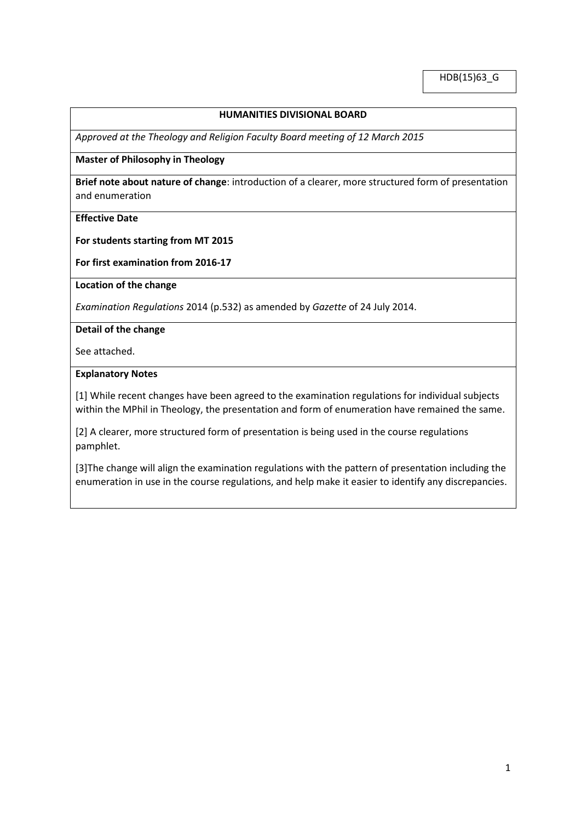HDB(15)63\_G

## **HUMANITIES DIVISIONAL BOARD**

*Approved at the Theology and Religion Faculty Board meeting of 12 March 2015*

### **Master of Philosophy in Theology**

**Brief note about nature of change**: introduction of a clearer, more structured form of presentation and enumeration

## **Effective Date**

**For students starting from MT 2015** 

**For first examination from 2016-17**

**Location of the change**

*Examination Regulations* 2014 (p.532) as amended by *Gazette* of 24 July 2014.

**Detail of the change**

See attached.

#### **Explanatory Notes**

[1] While recent changes have been agreed to the examination regulations for individual subjects within the MPhil in Theology, the presentation and form of enumeration have remained the same.

[2] A clearer, more structured form of presentation is being used in the course regulations pamphlet.

[3]The change will align the examination regulations with the pattern of presentation including the enumeration in use in the course regulations, and help make it easier to identify any discrepancies.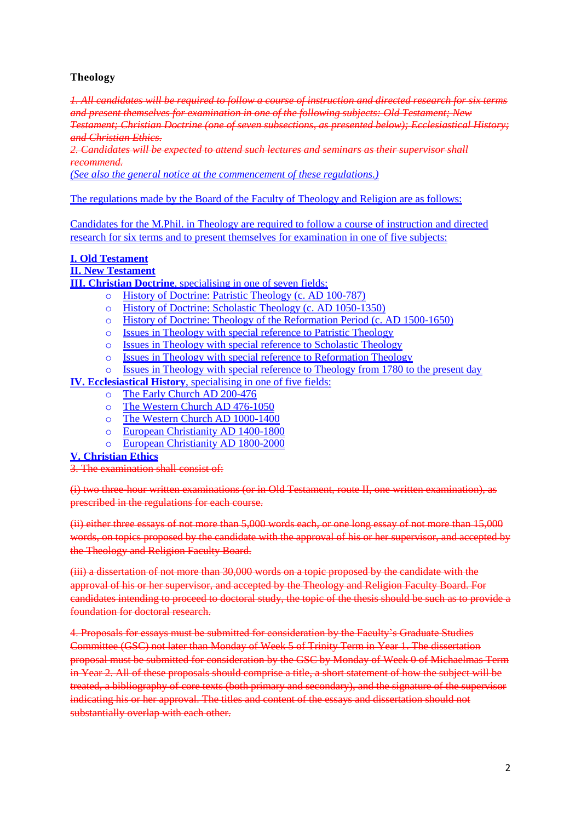## **Theology**

*1. All candidates will be required to follow a course of instruction and directed research for six terms and present themselves for examination in one of the following subjects: Old Testament; New* 

*Testament; Christian Doctrine (one of seven subsections, as presented below); Ecclesiastical History; and Christian Ethics.*

*2. Candidates will be expected to attend such lectures and seminars as their supervisor shall recommend.*

*(See also the general notice at the commencement of these regulations.)*

The regulations made by the Board of the Faculty of Theology and Religion are as follows:

Candidates for the M.Phil. in Theology are required to follow a course of instruction and directed research for six terms and to present themselves for examination in one of five subjects:

### **I. Old Testament**

### **II. New Testament**

**III. Christian Doctrine**, specialising in one of seven fields:

- o History of Doctrine: Patristic Theology (c. AD 100-787)
- o History of Doctrine: Scholastic Theology (c. AD 1050-1350)
- o History of Doctrine: Theology of the Reformation Period (c. AD 1500-1650)
- o Issues in Theology with special reference to Patristic Theology
- o Issues in Theology with special reference to Scholastic Theology
- o Issues in Theology with special reference to Reformation Theology
- o Issues in Theology with special reference to Theology from 1780 to the present day

## **IV. Ecclesiastical History**, specialising in one of five fields:

- o The Early Church AD 200-476
- o The Western Church AD 476-1050
- o The Western Church AD 1000-1400
- o European Christianity AD 1400-1800
- o European Christianity AD 1800-2000

### **V. Christian Ethics**

3. The examination shall consist of:

(i) two three-hour written examinations (or in Old Testament, route II, one written examination), as prescribed in the regulations for each course.

(ii) either three essays of not more than 5,000 words each, or one long essay of not more than 15,000 words, on topics proposed by the candidate with the approval of his or her supervisor, and accepted by the Theology and Religion Faculty Board.

(iii) a dissertation of not more than 30,000 words on a topic proposed by the candidate with the approval of his or her supervisor, and accepted by the Theology and Religion Faculty Board. For candidates intending to proceed to doctoral study, the topic of the thesis should be such as to provide a foundation for doctoral research.

4. Proposals for essays must be submitted for consideration by the Faculty's Graduate Studies Committee (GSC) not later than Monday of Week 5 of Trinity Term in Year 1. The dissertation proposal must be submitted for consideration by the GSC by Monday of Week 0 of Michaelmas Term in Year 2. All of these proposals should comprise a title, a short statement of how the subject will be treated, a bibliography of core texts (both primary and secondary), and the signature of the supervisor indicating his or her approval. The titles and content of the essays and dissertation should not substantially overlap with each other.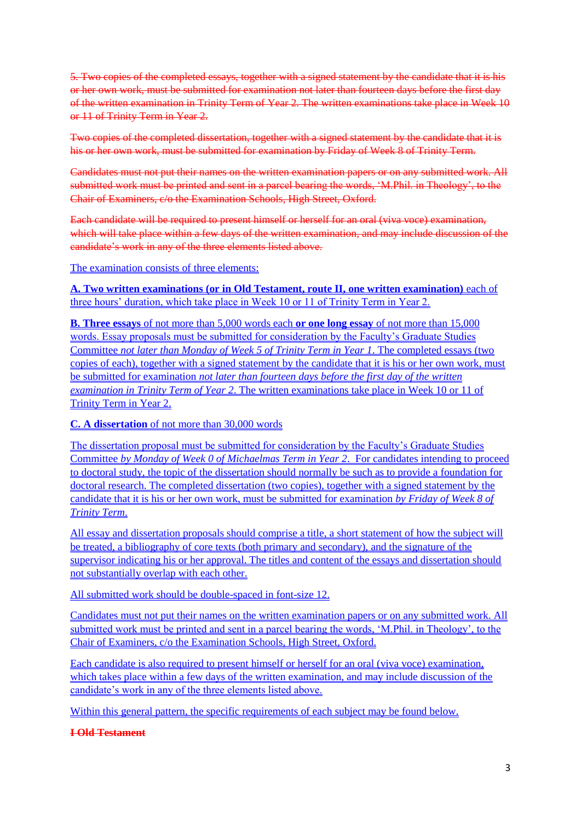5. Two copies of the completed essays, together with a signed statement by the candidate that it is his or her own work, must be submitted for examination not later than fourteen days before the first day of the written examination in Trinity Term of Year 2. The written examinations take place in Week 10 or 11 of Trinity Term in Year 2.

Two copies of the completed dissertation, together with a signed statement by the candidate that it is his or her own work, must be submitted for examination by Friday of Week 8 of Trinity Term.

Candidates must not put their names on the written examination papers or on any submitted work. All submitted work must be printed and sent in a parcel bearing the words, 'M.Phil. in Theology', to the Chair of Examiners, c/o the Examination Schools, High Street, Oxford.

Each candidate will be required to present himself or herself for an oral (viva voce) examination, which will take place within a few days of the written examination, and may include discussion of the candidate's work in any of the three elements listed above.

The examination consists of three elements:

**A. Two written examinations (or in Old Testament, route II, one written examination)** each of three hours' duration, which take place in Week 10 or 11 of Trinity Term in Year 2.

**B. Three essays** of not more than 5,000 words each **or one long essay** of not more than 15,000 words. Essay proposals must be submitted for consideration by the Faculty's Graduate Studies Committee *not later than Monday of Week 5 of Trinity Term in Year 1*. The completed essays (two copies of each), together with a signed statement by the candidate that it is his or her own work, must be submitted for examination *not later than fourteen days before the first day of the written examination in Trinity Term of Year 2*. The written examinations take place in Week 10 or 11 of Trinity Term in Year 2.

**C. A dissertation** of not more than 30,000 words

The dissertation proposal must be submitted for consideration by the Faculty's Graduate Studies Committee *by Monday of Week 0 of Michaelmas Term in Year 2*. For candidates intending to proceed to doctoral study, the topic of the dissertation should normally be such as to provide a foundation for doctoral research. The completed dissertation (two copies), together with a signed statement by the candidate that it is his or her own work, must be submitted for examination *by Friday of Week 8 of Trinity Term*.

All essay and dissertation proposals should comprise a title, a short statement of how the subject will be treated, a bibliography of core texts (both primary and secondary), and the signature of the supervisor indicating his or her approval. The titles and content of the essays and dissertation should not substantially overlap with each other.

All submitted work should be double-spaced in font-size 12.

Candidates must not put their names on the written examination papers or on any submitted work. All submitted work must be printed and sent in a parcel bearing the words, 'M.Phil. in Theology', to the Chair of Examiners, c/o the Examination Schools, High Street, Oxford.

Each candidate is also required to present himself or herself for an oral (viva voce) examination, which takes place within a few days of the written examination, and may include discussion of the candidate's work in any of the three elements listed above.

Within this general pattern, the specific requirements of each subject may be found below.

**I Old Testament**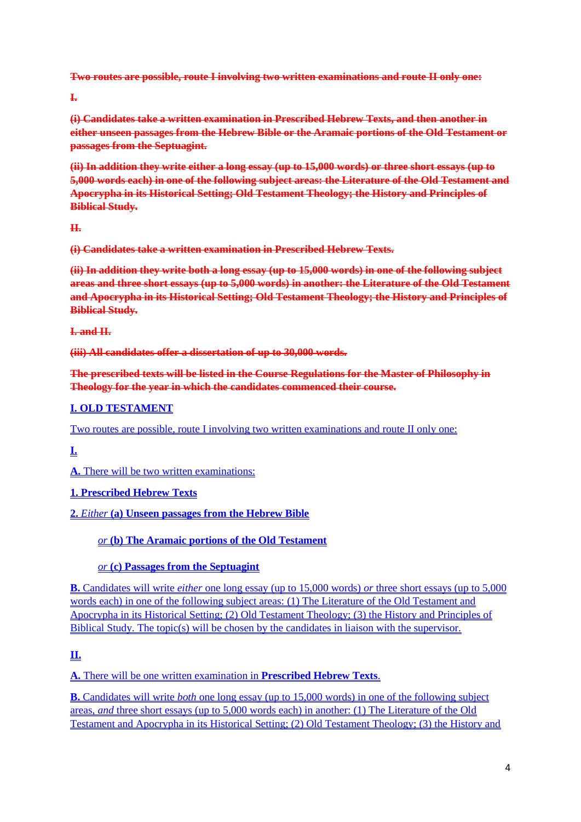**Two routes are possible, route I involving two written examinations and route II only one:**

**I.**

**(i) Candidates take a written examination in Prescribed Hebrew Texts, and then another in either unseen passages from the Hebrew Bible or the Aramaic portions of the Old Testament or passages from the Septuagint.**

**(ii) In addition they write either a long essay (up to 15,000 words) or three short essays (up to 5,000 words each) in one of the following subject areas: the Literature of the Old Testament and Apocrypha in its Historical Setting; Old Testament Theology; the History and Principles of Biblical Study.**

**II.**

**(i) Candidates take a written examination in Prescribed Hebrew Texts.**

**(ii) In addition they write both a long essay (up to 15,000 words) in one of the following subject areas and three short essays (up to 5,000 words) in another: the Literature of the Old Testament and Apocrypha in its Historical Setting; Old Testament Theology; the History and Principles of Biblical Study.**

**I. and II.**

**(iii) All candidates offer a dissertation of up to 30,000 words.**

**The prescribed texts will be listed in the Course Regulations for the Master of Philosophy in Theology for the year in which the candidates commenced their course.**

# **I. OLD TESTAMENT**

Two routes are possible, route I involving two written examinations and route II only one:

**I.**

**A.** There will be two written examinations:

# **1. Prescribed Hebrew Texts**

**2.** *Either* **(a) Unseen passages from the Hebrew Bible**

*or* **(b) The Aramaic portions of the Old Testament**

# *or* **(c) Passages from the Septuagint**

**B.** Candidates will write *either* one long essay (up to 15,000 words) *or* three short essays (up to 5,000 words each) in one of the following subject areas: (1) The Literature of the Old Testament and Apocrypha in its Historical Setting; (2) Old Testament Theology; (3) the History and Principles of Biblical Study. The topic(s) will be chosen by the candidates in liaison with the supervisor.

# **II.**

**A.** There will be one written examination in **Prescribed Hebrew Texts**.

**B.** Candidates will write *both* one long essay (up to 15,000 words) in one of the following subject areas, *and* three short essays (up to 5,000 words each) in another: (1) The Literature of the Old Testament and Apocrypha in its Historical Setting; (2) Old Testament Theology; (3) the History and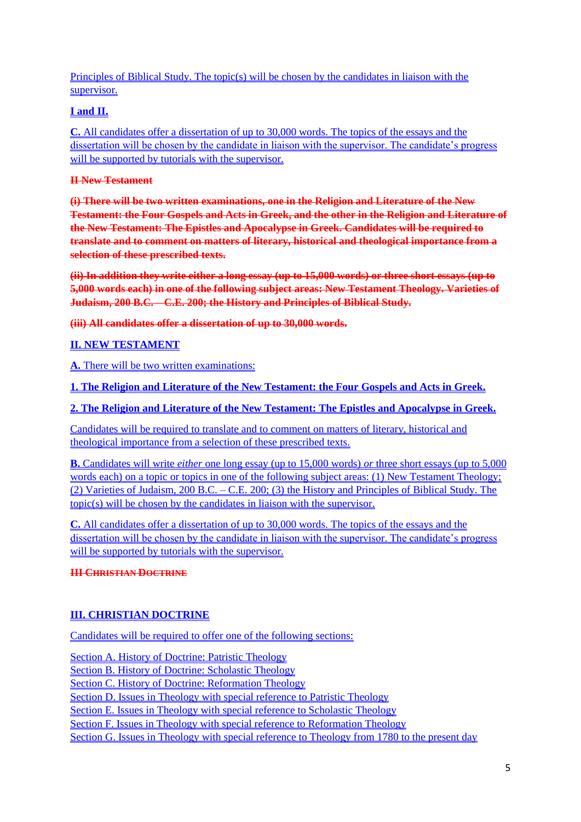Principles of Biblical Study. The topic(s) will be chosen by the candidates in liaison with the supervisor.

# **I and II.**

**C.** All candidates offer a dissertation of up to 30,000 words. The topics of the essays and the dissertation will be chosen by the candidate in liaison with the supervisor. The candidate's progress will be supported by tutorials with the supervisor.

## **II New Testament**

**(i) There will be two written examinations, one in the Religion and Literature of the New Testament: the Four Gospels and Acts in Greek, and the other in the Religion and Literature of the New Testament: The Epistles and Apocalypse in Greek. Candidates will be required to translate and to comment on matters of literary, historical and theological importance from a selection of these prescribed texts.**

**(ii) In addition they write either a long essay (up to 15,000 words) or three short essays (up to 5,000 words each) in one of the following subject areas: New Testament Theology. Varieties of Judaism, 200 B.C. – C.E. 200; the History and Principles of Biblical Study.**

**(iii) All candidates offer a dissertation of up to 30,000 words.**

# **II. NEW TESTAMENT**

**A.** There will be two written examinations:

**1. The Religion and Literature of the New Testament: the Four Gospels and Acts in Greek.**

**2. The Religion and Literature of the New Testament: The Epistles and Apocalypse in Greek.**

Candidates will be required to translate and to comment on matters of literary, historical and theological importance from a selection of these prescribed texts.

**B.** Candidates will write *either* one long essay (up to 15,000 words) *or* three short essays (up to 5,000 words each) on a topic or topics in one of the following subject areas: (1) New Testament Theology: (2) Varieties of Judaism, 200 B.C. – C.E. 200; (3) the History and Principles of Biblical Study. The topic(s) will be chosen by the candidates in liaison with the supervisor.

**C.** All candidates offer a dissertation of up to 30,000 words. The topics of the essays and the dissertation will be chosen by the candidate in liaison with the supervisor. The candidate's progress will be supported by tutorials with the supervisor.

# **III CHRISTIAN DOCTRINE**

# **III. CHRISTIAN DOCTRINE**

Candidates will be required to offer one of the following sections:

Section A. History of Doctrine: Patristic Theology

Section B. History of Doctrine: Scholastic Theology

Section C. History of Doctrine: Reformation Theology

Section D. Issues in Theology with special reference to Patristic Theology

Section E. Issues in Theology with special reference to Scholastic Theology

Section F. Issues in Theology with special reference to Reformation Theology

Section G. Issues in Theology with special reference to Theology from 1780 to the present day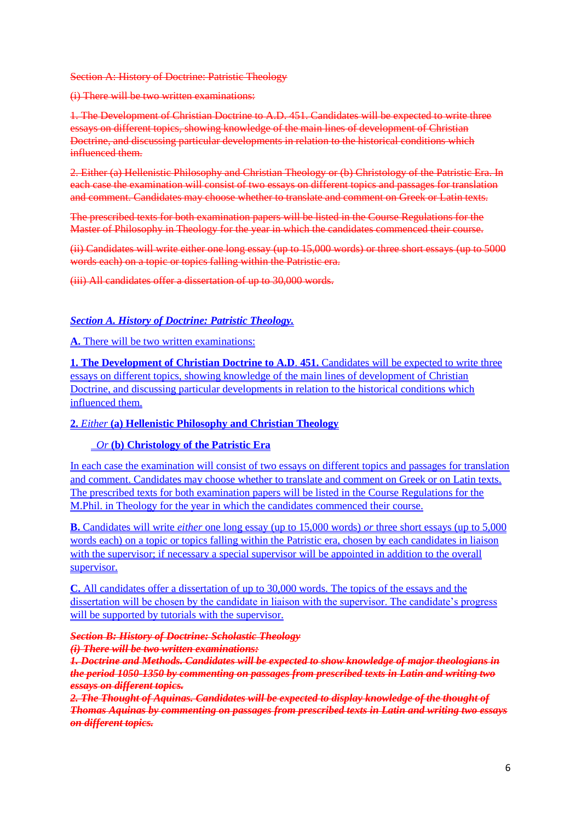#### Section A: History of Doctrine: Patristic Theology

#### (i) There will be two written examinations:

1. The Development of Christian Doctrine to A.D. 451. Candidates will be expected to write three essays on different topics, showing knowledge of the main lines of development of Christian Doctrine, and discussing particular developments in relation to the historical conditions which influenced them.

2. Either (a) Hellenistic Philosophy and Christian Theology or (b) Christology of the Patristic Era. In each case the examination will consist of two essays on different topics and passages for translation and comment. Candidates may choose whether to translate and comment on Greek or Latin texts.

The prescribed texts for both examination papers will be listed in the Course Regulations for the Master of Philosophy in Theology for the year in which the candidates commenced their course.

(ii) Candidates will write either one long essay (up to 15,000 words) or three short essays (up to 5000 words each) on a topic or topics falling within the Patristic era.

(iii) All candidates offer a dissertation of up to 30,000 words.

## *Section A. History of Doctrine: Patristic Theology.*

### A. There will be two written examinations:

**1. The Development of Christian Doctrine to A.D**. **451.** Candidates will be expected to write three essays on different topics, showing knowledge of the main lines of development of Christian Doctrine, and discussing particular developments in relation to the historical conditions which influenced them.

### **2.** *Either* **(a) Hellenistic Philosophy and Christian Theology**

### *Or* **(b) Christology of the Patristic Era**

In each case the examination will consist of two essays on different topics and passages for translation and comment. Candidates may choose whether to translate and comment on Greek or on Latin texts. The prescribed texts for both examination papers will be listed in the Course Regulations for the M.Phil. in Theology for the year in which the candidates commenced their course.

**B.** Candidates will write *either* one long essay (up to 15,000 words) *or* three short essays (up to 5,000 words each) on a topic or topics falling within the Patristic era, chosen by each candidates in liaison with the supervisor; if necessary a special supervisor will be appointed in addition to the overall supervisor.

**C.** All candidates offer a dissertation of up to 30,000 words. The topics of the essays and the dissertation will be chosen by the candidate in liaison with the supervisor. The candidate's progress will be supported by tutorials with the supervisor.

*Section B: History of Doctrine: Scholastic Theology (i) There will be two written examinations:*

*1. Doctrine and Methods. Candidates will be expected to show knowledge of major theologians in the period 1050-1350 by commenting on passages from prescribed texts in Latin and writing two essays on different topics.*

*2. The Thought of Aquinas. Candidates will be expected to display knowledge of the thought of Thomas Aquinas by commenting on passages from prescribed texts in Latin and writing two essays on different topics.*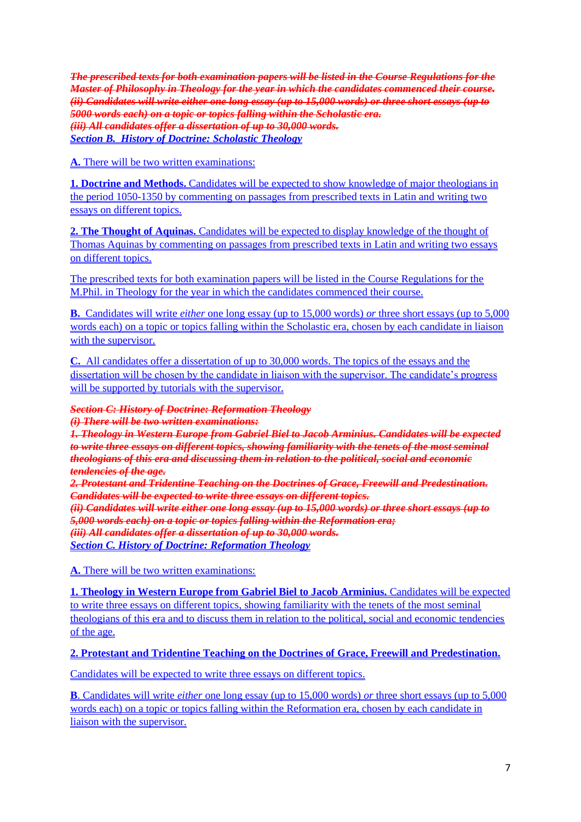*The prescribed texts for both examination papers will be listed in the Course Regulations for the Master of Philosophy in Theology for the year in which the candidates commenced their course. (ii) Candidates will write either one long essay (up to 15,000 words) or three short essays (up to 5000 words each) on a topic or topics falling within the Scholastic era. (iii) All candidates offer a dissertation of up to 30,000 words. Section B. History of Doctrine: Scholastic Theology*

**A.** There will be two written examinations:

**1. Doctrine and Methods.** Candidates will be expected to show knowledge of major theologians in the period 1050-1350 by commenting on passages from prescribed texts in Latin and writing two essays on different topics.

**2. The Thought of Aquinas.** Candidates will be expected to display knowledge of the thought of Thomas Aquinas by commenting on passages from prescribed texts in Latin and writing two essays on different topics.

The prescribed texts for both examination papers will be listed in the Course Regulations for the M.Phil. in Theology for the year in which the candidates commenced their course.

**B.** Candidates will write *either* one long essay (up to 15,000 words) *or* three short essays (up to 5,000 words each) on a topic or topics falling within the Scholastic era, chosen by each candidate in liaison with the supervisor.

**C.** All candidates offer a dissertation of up to 30,000 words. The topics of the essays and the dissertation will be chosen by the candidate in liaison with the supervisor. The candidate's progress will be supported by tutorials with the supervisor.

*Section C: History of Doctrine: Reformation Theology (i) There will be two written examinations:*

*1. Theology in Western Europe from Gabriel Biel to Jacob Arminius. Candidates will be expected to write three essays on different topics, showing familiarity with the tenets of the most seminal theologians of this era and discussing them in relation to the political, social and economic tendencies of the age.*

*2. Protestant and Tridentine Teaching on the Doctrines of Grace, Freewill and Predestination. Candidates will be expected to write three essays on different topics.*

*(ii) Candidates will write either one long essay (up to 15,000 words) or three short essays (up to 5,000 words each) on a topic or topics falling within the Reformation era; (iii) All candidates offer a dissertation of up to 30,000 words. Section C. History of Doctrine: Reformation Theology*

**A.** There will be two written examinations:

**1. Theology in Western Europe from Gabriel Biel to Jacob Arminius.** Candidates will be expected to write three essays on different topics, showing familiarity with the tenets of the most seminal theologians of this era and to discuss them in relation to the political, social and economic tendencies of the age.

**2. Protestant and Tridentine Teaching on the Doctrines of Grace, Freewill and Predestination.**

Candidates will be expected to write three essays on different topics.

**B**. Candidates will write *either* one long essay (up to 15,000 words) *or* three short essays (up to 5,000 words each) on a topic or topics falling within the Reformation era, chosen by each candidate in liaison with the supervisor.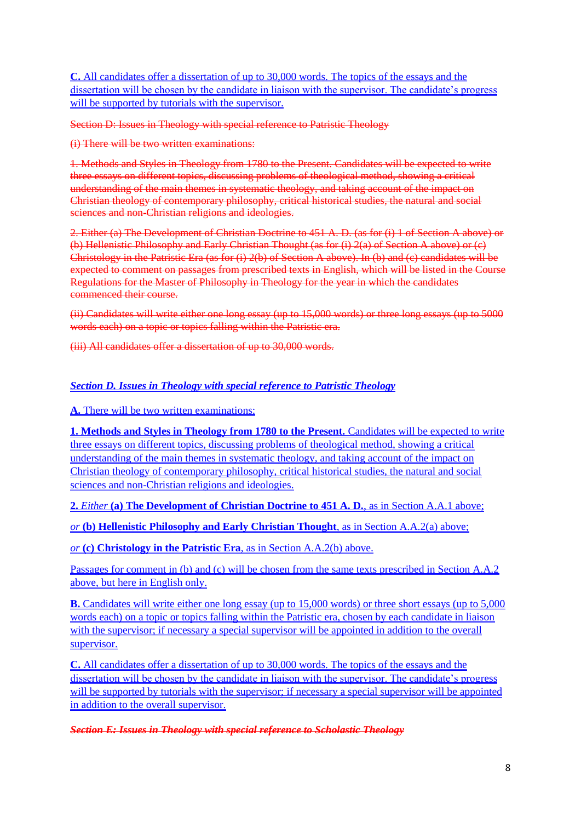**C.** All candidates offer a dissertation of up to 30,000 words. The topics of the essays and the dissertation will be chosen by the candidate in liaison with the supervisor. The candidate's progress will be supported by tutorials with the supervisor.

Section D: Issues in Theology with special reference to Patristic Theology

(i) There will be two written examinations:

1. Methods and Styles in Theology from 1780 to the Present. Candidates will be expected to write three essays on different topics, discussing problems of theological method, showing a critical understanding of the main themes in systematic theology, and taking account of the impact on Christian theology of contemporary philosophy, critical historical studies, the natural and social sciences and non-Christian religions and ideologies.

2. Either (a) The Development of Christian Doctrine to 451 A. D. (as for (i) 1 of Section A above) or (b) Hellenistic Philosophy and Early Christian Thought (as for (i) 2(a) of Section A above) or (c) Christology in the Patristic Era (as for (i) 2(b) of Section A above). In (b) and (c) candidates will be expected to comment on passages from prescribed texts in English, which will be listed in the Course Regulations for the Master of Philosophy in Theology for the year in which the candidates commenced their course.

(ii) Candidates will write either one long essay (up to 15,000 words) or three long essays (up to 5000 words each) on a topic or topics falling within the Patristic era.

(iii) All candidates offer a dissertation of up to 30,000 words.

## *Section D. Issues in Theology with special reference to Patristic Theology*

**A.** There will be two written examinations:

**1. Methods and Styles in Theology from 1780 to the Present.** Candidates will be expected to write three essays on different topics, discussing problems of theological method, showing a critical understanding of the main themes in systematic theology, and taking account of the impact on Christian theology of contemporary philosophy, critical historical studies, the natural and social sciences and non-Christian religions and ideologies.

**2.** *Either* **(a) The Development of Christian Doctrine to 451 A. D.**, as in Section A.A.1 above;

*or* **(b) Hellenistic Philosophy and Early Christian Thought**, as in Section A.A.2(a) above;

*or* **(c) Christology in the Patristic Era**, as in Section A.A.2(b) above.

Passages for comment in (b) and (c) will be chosen from the same texts prescribed in Section A.A.2 above, but here in English only.

**B.** Candidates will write either one long essay (up to 15,000 words) or three short essays (up to 5,000 words each) on a topic or topics falling within the Patristic era, chosen by each candidate in liaison with the supervisor; if necessary a special supervisor will be appointed in addition to the overall supervisor.

**C.** All candidates offer a dissertation of up to 30,000 words. The topics of the essays and the dissertation will be chosen by the candidate in liaison with the supervisor. The candidate's progress will be supported by tutorials with the supervisor; if necessary a special supervisor will be appointed in addition to the overall supervisor.

*Section E: Issues in Theology with special reference to Scholastic Theology*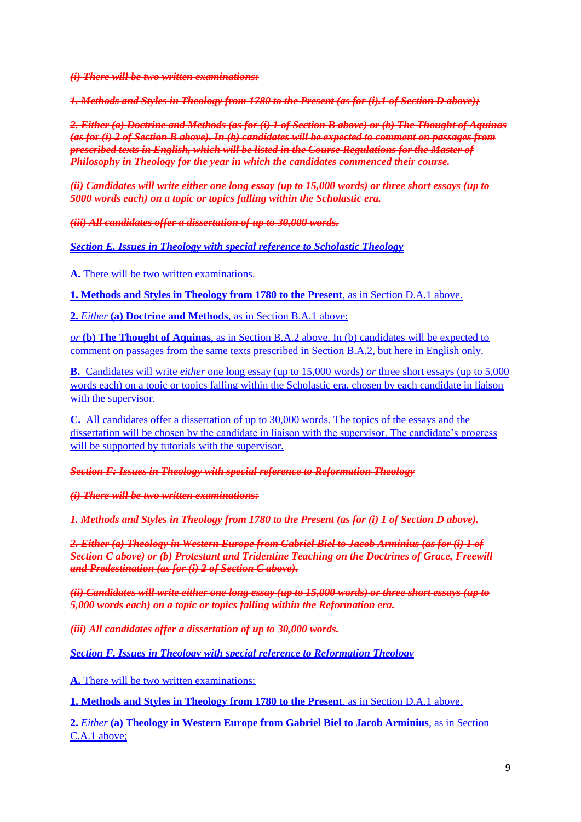*(i) There will be two written examinations:*

*1. Methods and Styles in Theology from 1780 to the Present (as for (i).1 of Section D above);*

*2. Either (a) Doctrine and Methods (as for (i) 1 of Section B above) or (b) The Thought of Aquinas (as for (i) 2 of Section B above). In (b) candidates will be expected to comment on passages from prescribed texts in English, which will be listed in the Course Regulations for the Master of Philosophy in Theology for the year in which the candidates commenced their course.*

*(ii) Candidates will write either one long essay (up to 15,000 words) or three short essays (up to 5000 words each) on a topic or topics falling within the Scholastic era.*

*(iii) All candidates offer a dissertation of up to 30,000 words.*

*Section E. Issues in Theology with special reference to Scholastic Theology*

**A.** There will be two written examinations.

**1. Methods and Styles in Theology from 1780 to the Present**, as in Section D.A.1 above.

**2.** *Either* **(a) Doctrine and Methods**, as in Section B.A.1 above;

*or* **(b) The Thought of Aquinas**, as in Section B.A.2 above. In (b) candidates will be expected to comment on passages from the same texts prescribed in Section B.A.2, but here in English only.

**B.** Candidates will write *either* one long essay (up to 15,000 words) *or* three short essays (up to 5,000 words each) on a topic or topics falling within the Scholastic era, chosen by each candidate in liaison with the supervisor.

**C.** All candidates offer a dissertation of up to 30,000 words. The topics of the essays and the dissertation will be chosen by the candidate in liaison with the supervisor. The candidate's progress will be supported by tutorials with the supervisor.

*Section F: Issues in Theology with special reference to Reformation Theology*

*(i) There will be two written examinations:*

*1. Methods and Styles in Theology from 1780 to the Present (as for (i) 1 of Section D above).*

*2. Either (a) Theology in Western Europe from Gabriel Biel to Jacob Arminius (as for (i) 1 of Section C above) or (b) Protestant and Tridentine Teaching on the Doctrines of Grace, Freewill and Predestination (as for (i) 2 of Section C above).*

*(ii) Candidates will write either one long essay (up to 15,000 words) or three short essays (up to 5,000 words each) on a topic or topics falling within the Reformation era.*

*(iii) All candidates offer a dissertation of up to 30,000 words.*

*Section F. Issues in Theology with special reference to Reformation Theology*

**A.** There will be two written examinations:

**1. Methods and Styles in Theology from 1780 to the Present**, as in Section D.A.1 above.

**2.** *Either* **(a) Theology in Western Europe from Gabriel Biel to Jacob Arminius**, as in Section C.A.1 above;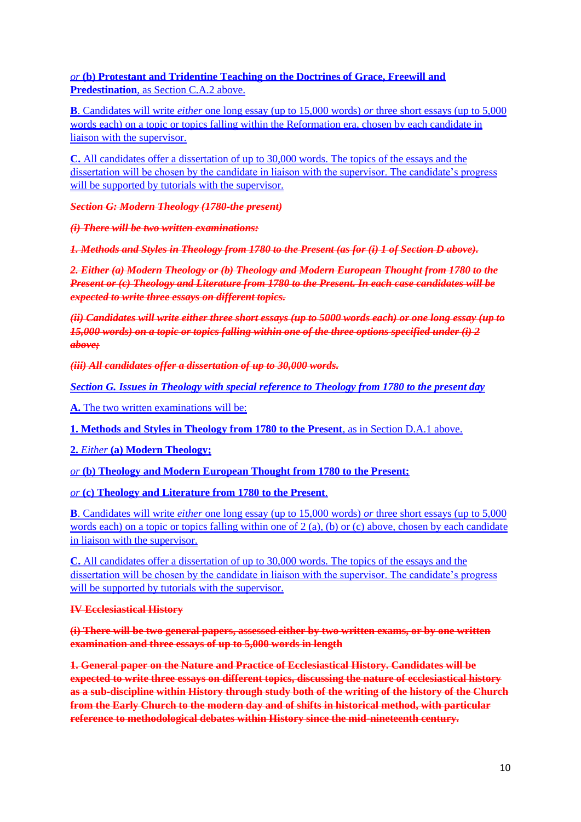*or* **(b) Protestant and Tridentine Teaching on the Doctrines of Grace, Freewill and Predestination**, as Section C.A.2 above.

**B**. Candidates will write *either* one long essay (up to 15,000 words) *or* three short essays (up to 5,000 words each) on a topic or topics falling within the Reformation era, chosen by each candidate in liaison with the supervisor.

**C.** All candidates offer a dissertation of up to 30,000 words. The topics of the essays and the dissertation will be chosen by the candidate in liaison with the supervisor. The candidate's progress will be supported by tutorials with the supervisor.

*Section G: Modern Theology (1780-the present)*

*(i) There will be two written examinations:*

*1. Methods and Styles in Theology from 1780 to the Present (as for (i) 1 of Section D above).*

*2. Either (a) Modern Theology or (b) Theology and Modern European Thought from 1780 to the Present or (c) Theology and Literature from 1780 to the Present. In each case candidates will be expected to write three essays on different topics.*

*(ii) Candidates will write either three short essays (up to 5000 words each) or one long essay (up to 15,000 words) on a topic or topics falling within one of the three options specified under (i) 2 above;*

*(iii) All candidates offer a dissertation of up to 30,000 words.*

*Section G. Issues in Theology with special reference to Theology from 1780 to the present day* 

**A.** The two written examinations will be:

**1. Methods and Styles in Theology from 1780 to the Present**, as in Section D.A.1 above.

**2.** *Either* **(a) Modern Theology;**

*or* **(b) Theology and Modern European Thought from 1780 to the Present;**

*or* **(c) Theology and Literature from 1780 to the Present**.

**B**. Candidates will write *either* one long essay (up to 15,000 words) *or* three short essays (up to 5,000 words each) on a topic or topics falling within one of 2 (a), (b) or (c) above, chosen by each candidate in liaison with the supervisor.

**C.** All candidates offer a dissertation of up to 30,000 words. The topics of the essays and the dissertation will be chosen by the candidate in liaison with the supervisor. The candidate's progress will be supported by tutorials with the supervisor.

### **IV Ecclesiastical History**

**(i) There will be two general papers, assessed either by two written exams, or by one written examination and three essays of up to 5,000 words in length**

**1. General paper on the Nature and Practice of Ecclesiastical History. Candidates will be expected to write three essays on different topics, discussing the nature of ecclesiastical history as a sub-discipline within History through study both of the writing of the history of the Church from the Early Church to the modern day and of shifts in historical method, with particular reference to methodological debates within History since the mid-nineteenth century.**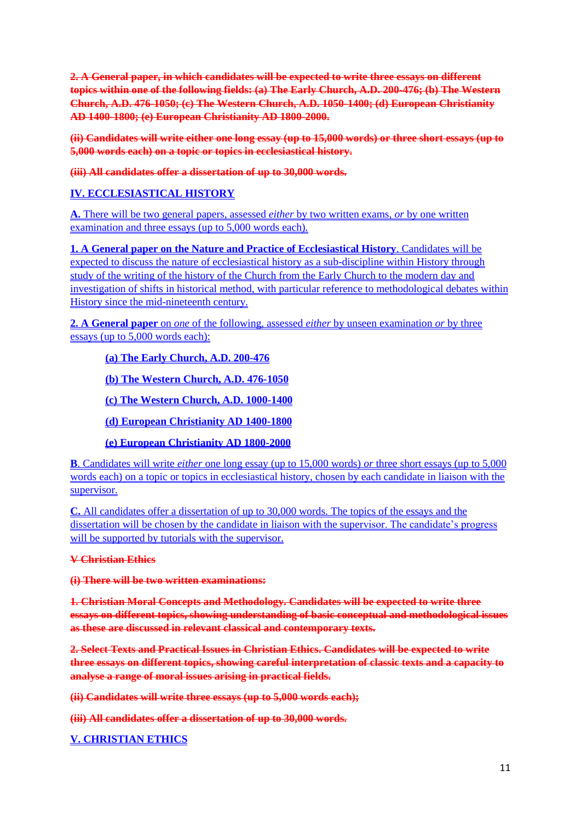**2. A General paper, in which candidates will be expected to write three essays on different topics within one of the following fields: (a) The Early Church, A.D. 200-476; (b) The Western Church, A.D. 476-1050; (c) The Western Church, A.D. 1050-1400; (d) European Christianity AD 1400-1800; (e) European Christianity AD 1800-2000.**

**(ii) Candidates will write either one long essay (up to 15,000 words) or three short essays (up to 5,000 words each) on a topic or topics in ecclesiastical history.**

**(iii) All candidates offer a dissertation of up to 30,000 words.**

## **IV. ECCLESIASTICAL HISTORY**

**A.** There will be two general papers, assessed *either* by two written exams, *or* by one written examination and three essays (up to 5,000 words each).

**1. A General paper on the Nature and Practice of Ecclesiastical History**. Candidates will be expected to discuss the nature of ecclesiastical history as a sub-discipline within History through study of the writing of the history of the Church from the Early Church to the modern day and investigation of shifts in historical method, with particular reference to methodological debates within History since the mid-nineteenth century.

**2. A General paper** on *one* of the following, assessed *either* by unseen examination *or* by three essays (up to 5,000 words each):

**(a) The Early Church, A.D. 200-476**

**(b) The Western Church, A.D. 476-1050**

**(c) The Western Church, A.D. 1000-1400**

**(d) European Christianity AD 1400-1800**

**(e) European Christianity AD 1800-2000**

**B**. Candidates will write *either* one long essay (up to 15,000 words) *or* three short essays (up to 5,000 words each) on a topic or topics in ecclesiastical history, chosen by each candidate in liaison with the supervisor.

**C.** All candidates offer a dissertation of up to 30,000 words. The topics of the essays and the dissertation will be chosen by the candidate in liaison with the supervisor. The candidate's progress will be supported by tutorials with the supervisor.

## **V Christian Ethics**

**(i) There will be two written examinations:**

**1. Christian Moral Concepts and Methodology. Candidates will be expected to write three essays on different topics, showing understanding of basic conceptual and methodological issues as these are discussed in relevant classical and contemporary texts.**

**2. Select Texts and Practical Issues in Christian Ethics. Candidates will be expected to write three essays on different topics, showing careful interpretation of classic texts and a capacity to analyse a range of moral issues arising in practical fields.**

**(ii) Candidates will write three essays (up to 5,000 words each);**

**(iii) All candidates offer a dissertation of up to 30,000 words.**

## **V. CHRISTIAN ETHICS**